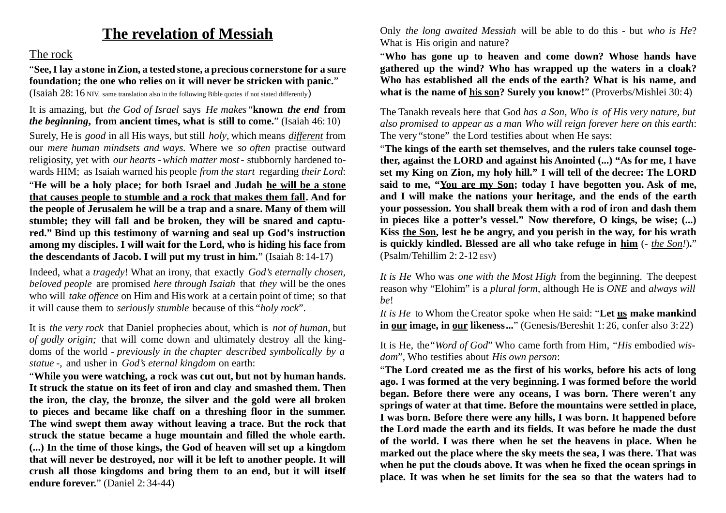# **The revelation of Messiah**

# The rock

"**See,I lay a stone inZion, a tested stone, a precious cornerstone for a sure foundation; the one who relies on it will never be stricken with panic.**"

(Isaiah 28:16 NIV, same translation also in the following Bible quotes if not stated differently)

It is amazing, but *the God of Israel* says *He makes* "**known** *the end* **from** *the beginning***, from ancient times, what is still to come.**" (Isaiah 46:10)

Surely, He is *good* in all His ways, but still *holy*, which means *different* from our *mere human mindsets and ways.* Where we *so often* practise outward religiosity, yet with *our hearts* -*which matter most-* stubbornly hardened towards HIM; as Isaiah warned his people *from the start* regarding *their Lord*: "**He will be a holy place; for both Israel and Judah he will be a stone that causes people to stumble and a rock that makes them fall. And for the people of Jerusalem he will be a trap and a snare. Many of them will stumble; they will fall and be broken, they will be snared and captured." Bind up this testimony of warning and seal up God's instruction among my disciples. I will wait for the Lord, who is hiding his face from the descendants of Jacob. I will put my trust in him.**" (Isaiah 8: 14-17)

Indeed, what a *tragedy*! What an irony, that exactly *God's eternally chosen, beloved people* are promised *here through Isaiah* that *they* will be the ones who will *take offence* on Him and His work at a certain point of time; so that it will cause them to *seriously stumble* because of this "*holy rock*".

It is *the very rock* that Daniel prophecies about, which is *not of human*, but *of godly origin;* that will come down and ultimately destroy all the kingdoms of the world - *previously in the chapter described symbolically by a statue -*, and usher in *God's eternal kingdom* on earth:

"**While you were watching, a rock was cut out, but not by human hands. It struck the statue on its feet of iron and clay and smashed them. Then the iron, the clay, the bronze, the silver and the gold were all broken to pieces and became like chaff on a threshing floor in the summer. The wind swept them away without leaving a trace. But the rock that struck the statue became a huge mountain and filled the whole earth. (...) In the time of those kings, the God of heaven will set up a kingdom that will never be destroyed, nor will it be left to another people. It will crush all those kingdoms and bring them to an end, but it will itself endure forever.**" (Daniel 2: 34-44)

Only *the long awaited Messiah* will be able to do this - but *who is He*? What is His origin and nature?

"**Who has gone up to heaven and come down? Whose hands have gathered up the wind? Who has wrapped up the waters in a cloak? Who has established all the ends of the earth? What is his name, and what is the name of his son? Surely you know!**" (Proverbs/Mishlei 30: 4)

The Tanakh reveals here that God *has a Son, Who is of His very nature, but also promised to appear as a man Who will reign forever here on this earth*: The very "stone" the Lord testifies about when He says:

"**The kings of the earth set themselves, and the rulers take counsel together, against the LORD and against his Anointed (...) "As for me, I have set my King on Zion, my holy hill." I will tell of the decree: The LORD said to me, "You are my Son; today I have begotten you. Ask of me, and I will make the nations your heritage, and the ends of the earth your possession. You shall break them with a rod of iron and dash them in pieces like a potter's vessel." Now therefore, O kings, be wise; (...) Kiss the Son, lest he be angry, and you perish in the way, for his wrath is quickly kindled. Blessed are all who take refuge in him** (- *the Son!*)**.**" (Psalm/Tehillim 2: 2-12 ESV)

*It is He* Who was *one with the Most High* from the beginning. The deepest reason why "Elohim" is a *plural form*, although He is *ONE* and *always will be*!

*It is He* to Whom the Creator spoke when He said: "**Let us make mankind in our image, in our likeness...**" (Genesis/Bereshit 1:26, confer also 3:22)

It is He, the"*Word of God*" Who came forth from Him, "*His* embodied *wisdom*", Who testifies about *His own person*:

"**The Lord created me as the first of his works, before his acts of long ago. I was formed at the very beginning. I was formed before the world began. Before there were any oceans, I was born. There weren't any springs of water at that time. Before the mountains were settled in place, I was born. Before there were any hills, I was born. It happened before the Lord made the earth and its fields. It was before he made the dust of the world. I was there when he set the heavens in place. When he marked out the place where the sky meets the sea, I was there. That was when he put the clouds above. It was when he fixed the ocean springs in place. It was when he set limits for the sea so that the waters had to**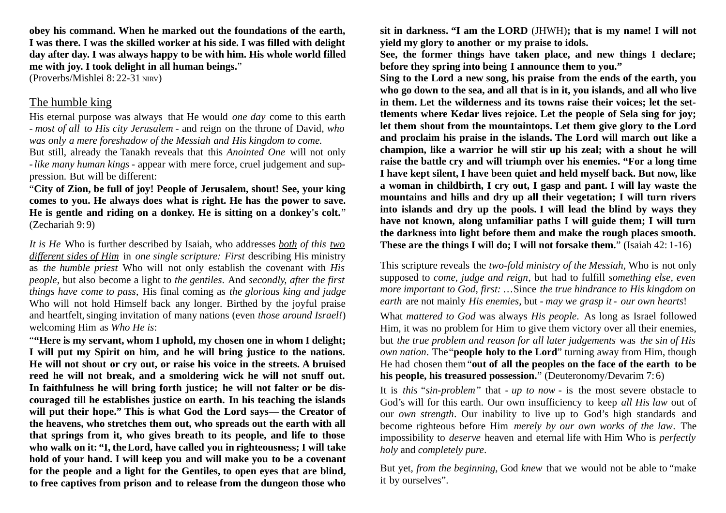**obey his command. When he marked out the foundations of the earth, I was there. I was the skilled worker at his side. I was filled with delight day after day. I was always happy to be with him. His whole world filled me with joy. I took delight in all human beings.**"

(Proverbs/Mishlei 8: 22-31 NIRV)

## The humble king

His eternal purpose was always that He would *one day* come to this earth - *most of all to His city Jerusalem* - and reign on the throne of David*, who was only a mere foreshadow of the Messiah and His kingdom to come.*

But still, already the Tanakh reveals that this *Anointed One* will not only -*like many human kings -* appear with mere force, cruel judgement and suppression. But will be different:

"**City of Zion, be full of joy! People of Jerusalem, shout! See, your king comes to you. He always does what is right. He has the power to save. He is gentle and riding on a donkey. He is sitting on a donkey's colt.**" (Zechariah 9: 9)

*It is He* Who is further described by Isaiah, who addresses *both of this two different sides of Him* in *one single scripture: First* describing His ministry as *the humble priest* Who will not only establish the covenant with *His people*, but also become a light to *the gentiles*. And *secondly, after the first things have come to pass*, His final coming as *the glorious king and judge* Who will not hold Himself back any longer. Birthed by the joyful praise and heartfelt, singing invitation of many nations (even *those around Israel!*) welcoming Him as *Who He is*:

"**"Here is my servant, whom I uphold, my chosen one in whom I delight; I will put my Spirit on him, and he will bring justice to the nations. He will not shout or cry out, or raise his voice in the streets. A bruised reed he will not break, and a smoldering wick he will not snuff out. In faithfulness he will bring forth justice; he will not falter or be discouraged till he establishes justice on earth. In his teaching the islands will put their hope." This is what God the Lord says— the Creator of the heavens, who stretches them out, who spreads out the earth with all that springs from it, who gives breath to its people, and life to those who walk on it: "I, theLord, have called you in righteousness; I will take hold of your hand. I will keep you and will make you to be a covenant for the people and a light for the Gentiles, to open eyes that are blind, to free captives from prison and to release from the dungeon those who**

**sit in darkness. "I am the LORD** (JHWH)**; that is my name! I will not yield my glory to another or my praise to idols.**

**See, the former things have taken place, and new things I declare; before they spring into being I announce them to you."**

**Sing to the Lord a new song, his praise from the ends of the earth, you who go down to the sea, and all that is in it, you islands, and all who live in them. Let the wilderness and its towns raise their voices; let the settlements where Kedar lives rejoice. Let the people of Sela sing for joy; let them shout from the mountaintops. Let them give glory to the Lord and proclaim his praise in the islands. The Lord will march out like a champion, like a warrior he will stir up his zeal; with a shout he will raise the battle cry and will triumph over his enemies. "For a long time I have kept silent, I have been quiet and held myself back. But now, like a woman in childbirth, I cry out, I gasp and pant. I will lay waste the mountains and hills and dry up all their vegetation; I will turn rivers into islands and dry up the pools. I will lead the blind by ways they have not known, along unfamiliar paths I will guide them; I will turn the darkness into light before them and make the rough places smooth. These are the things I will do; I will not forsake them.**" (Isaiah 42: 1-16)

This scripture reveals the *two-fold ministry of the Messiah*, Who is not only supposed to *come, judge and reign*, but had to fulfill *something else, even more important to God, first: …*Since *the true hindrance to His kingdom on earth* are not mainly *His enemies*, but - *may we grasp it*- *our own hearts*!

What *mattered to God* was always *His people*. As long as Israel followed Him, it was no problem for Him to give them victory over all their enemies, but *the true problem and reason for all later judgements* was *the sin of His own nation*. The"**people holy to the Lord**" turning away from Him, though He had chosen them"**out of all the peoples on the face of the earth to be his people, his treasured possession.**" (Deuteronomy/Devarim 7: 6)

It is *this "sin-problem"* that - *up to now* - is the most severe obstacle to God's will for this earth. Our own insufficiency to keep *all His law* out of our *own strength*. Our inability to live up to God's high standards and become righteous before Him *merely by our own works of the law*. The impossibility to *deserve* heaven and eternal life with Him Who is *perfectly holy* and *completely pure*.

But yet, *from the beginning,* God *knew* that we would not be able to "make it by ourselves".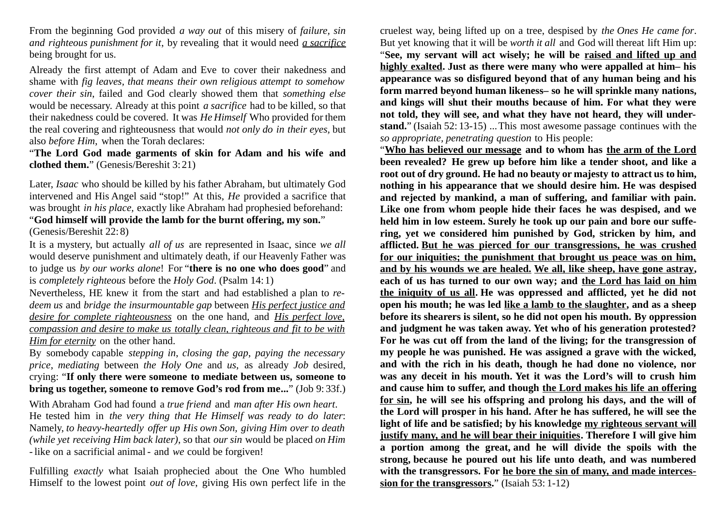From the beginning God provided *a way out* of this misery of *failure, sin and righteous punishment for it*, by revealing that it would need *a sacrifice* being brought for us.

Already the first attempt of Adam and Eve to cover their nakedness and shame with *fig leaves, that means their own religious attempt to somehow cover their sin*, failed and God clearly showed them that *something else* would be necessary. Already at this point *a sacrifice* had to be killed, so that their nakedness could be covered. It was *He Himself* Who provided for them the real covering and righteousness that would *not only do in their eyes,* but also *before Him*, when the Torah declares:

"**The Lord God made garments of skin for Adam and his wife and clothed them.**" (Genesis/Bereshit 3: 21)

Later, *Isaac* who should be killed by his father Abraham, but ultimately God intervened and His Angel said "stop!" At this, *He* provided a sacrifice that was brought *in his place,* exactly like Abraham had prophesied beforehand: "**God himself will provide the lamb for the burnt offering, my son.**" (Genesis/Bereshit 22: 8)

It is a mystery, but actually *all of us* are represented in Isaac, since *we all* would deserve punishment and ultimately death, if our Heavenly Father was to judge us *by our works alone*! For "**there is no one who does good**" and is *completely righteous* before the *Holy God*. (Psalm 14: 1)

Nevertheless, HE knew it from the start and had established a plan to *redeem us* and *bridge the insurmountable gap* between *His perfect justice and desire for complete righteousness* on the one hand, and *His perfect love, compassion and desire to make us totally clean, righteous and fit to be with Him for eternity* on the other hand.

By somebody capable *stepping in*, *closing the gap*, *paying the necessary price*, *mediating* between *the Holy One* and *us*, as already *Job* desired, crying: "**If only there were someone to mediate between us, someone to bring us together, someone to remove God's rod from me...**" (Job 9: 33f.)

With Abraham God had found a *true friend* and *man after His own heart*. He tested him in *the very thing that He Himself was ready to do later*: Namely, *to heavy-heartedly offer up His own Son, giving Him over to death (while yet receiving Him back later)*, so that *our sin* would be placed *on Him* - like on a sacrificial animal - and *we* could be forgiven!

Fulfilling *exactly* what Isaiah prophecied about the One Who humbled Himself to the lowest point *out of love*, giving His own perfect life in the

cruelest way, being lifted up on a tree, despised by *the Ones He came for*. But yet knowing that it will be *worth it all* and God will thereat lift Him up: "**See, my servant will act wisely; he will be raised and lifted up and highly exalted. Just as there were many who were appalled at him– his appearance was so disfigured beyond that of any human being and his form marred beyond human likeness– so he will sprinkle many nations, and kings will shut their mouths because of him. For what they were not told, they will see, and what they have not heard, they will understand.**" (Isaiah 52: 13-15) ...This most awesome passage continues with the *so appropriate, penetrating question* to His people:

"**Who has believed our message and to whom has the arm of the Lord been revealed? He grew up before him like a tender shoot, and like a root out of dry ground. He had no beauty or majesty to attract us to him, nothing in his appearance that we should desire him. He was despised and rejected by mankind, a man of suffering, and familiar with pain. Like one from whom people hide their faces he was despised, and we held him in low esteem. Surely he took up our pain and bore our suffering, yet we considered him punished by God, stricken by him, and afflicted. But he was pierced for our transgressions, he was crushed for our iniquities; the punishment that brought us peace was on him, and by his wounds we are healed. We all, like sheep, have gone astray, each of us has turned to our own way; and the Lord has laid on him the iniquity of us all. He was oppressed and afflicted, yet he did not open his mouth; he was led like a lamb to the slaughter, and as a sheep before its shearers is silent, so he did not open his mouth. By oppression and judgment he was taken away. Yet who of his generation protested? For he was cut off from the land of the living; for the transgression of my people he was punished. He was assigned a grave with the wicked, and with the rich in his death, though he had done no violence, nor was any deceit in his mouth. Yet it was the Lord's will to crush him and cause him to suffer, and though the Lord makes his life an offering for sin, he will see his offspring and prolong his days, and the will of the Lord will prosper in his hand. After he has suffered, he will see the light of life and be satisfied; by his knowledge my righteous servant will justify many, and he will bear their iniquities. Therefore I will give him a portion among the great, and he will divide the spoils with the strong, because he poured out his life unto death, and was numbered with the transgressors. For he bore the sin of many, and made intercession for the transgressors.**" (Isaiah 53: 1-12)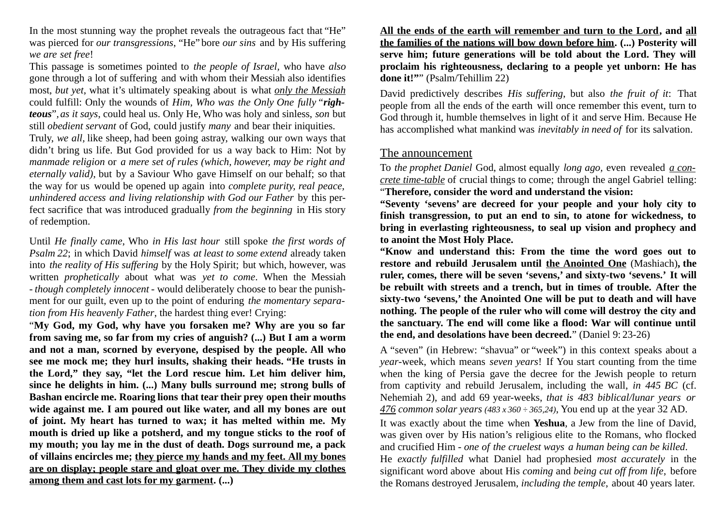In the most stunning way the prophet reveals the outrageous fact that "He" was pierced for *our transgressions*, "He" bore *our sins* and by His suffering *we are set free*!

This passage is sometimes pointed to *the people of Israel,* who have *also* gone through a lot of suffering and with whom their Messiah also identifies most, *but yet*, what it's ultimately speaking about is what *only the Messiah* could fulfill: Only the wounds of *Him, Who was the Only One fully "righteous*"*,as it says*, could heal us. Only He, Who was holy and sinless, *son* but still *obedient servant* of God, could justify *many* and bear their iniquities.

Truly, *we all,* like sheep, had been going astray, walking our own ways that didn't bring us life. But God provided for us a way back to Him: Not by *manmade religion* or *a mere set of rules (which, however, may be right and eternally valid)*, but by a Saviour Who gave Himself on our behalf; so that the way for us would be opened up again into *complete purity, real peace, unhindered access and living relationship with God our Father* by this perfect sacrifice that was introduced gradually *from the beginning* in His story of redemption.

Until *He finally came*, Who *in His last hour* still spoke *the first words of Psalm 22*; in which David *himself* was *at least to some extend* already taken into *the reality of His suffering* by the Holy Spirit; but which, however, was written *prophetically* about what was *yet to come*. When the Messiah - *though completely innocent* - would deliberately choose to bear the punishment for our guilt, even up to the point of enduring *the momentary separation from His heavenly Father*, the hardest thing ever! Crying:

"**My God, my God, why have you forsaken me? Why are you so far from saving me, so far from my cries of anguish? (...) But I am a worm and not a man, scorned by everyone, despised by the people. All who see me mock me; they hurl insults, shaking their heads. "He trusts in the Lord," they say, "let the Lord rescue him. Let him deliver him, since he delights in him. (...) Many bulls surround me; strong bulls of Bashan encircle me. Roaring lions that tear their prey open their mouths wide against me. I am poured out like water, and all my bones are out of joint. My heart has turned to wax; it has melted within me. My mouth is dried up like a potsherd, and my tongue sticks to the roof of my mouth; you lay me in the dust of death. Dogs surround me, a pack of villains encircles me; they pierce my hands and my feet. All my bones are on display; people stare and gloat over me. They divide my clothes among them and cast lots for my garment. (...)**

**All the ends of the earth will remember and turn to the Lord, and all the families of the nations will bow down before him. (...) Posterity will serve him; future generations will be told about the Lord. They will proclaim his righteousness, declaring to a people yet unborn: He has done it!"**" (Psalm/Tehillim 22)

David predictively describes *His suffering*, but also *the fruit of it*: That people from all the ends of the earth will once remember this event, turn to God through it, humble themselves in light of it and serve Him. Because He has accomplished what mankind was *inevitably in need of* for its salvation.

#### The announcement

To *the prophet Daniel* God, almost equally *long ago,* even revealed *a concrete time-table* of crucial things to come; through the angel Gabriel telling: "**Therefore, consider the word and understand the vision:**

**"Seventy 'sevens' are decreed for your people and your holy city to finish transgression, to put an end to sin, to atone for wickedness, to bring in everlasting righteousness, to seal up vision and prophecy and to anoint the Most Holy Place.** 

**"Know and understand this: From the time the word goes out to restore and rebuild Jerusalem until the Anointed One** (Mashiach)**, the ruler, comes, there will be seven 'sevens,' and sixty-two 'sevens.' It will be rebuilt with streets and a trench, but in times of trouble. After the sixty-two 'sevens,' the Anointed One will be put to death and will have nothing. The people of the ruler who will come will destroy the city and the sanctuary. The end will come like a flood: War will continue until the end, and desolations have been decreed.**" (Daniel 9: 23-26)

A "seven" (in Hebrew: "shavua" or "week") in this context speaks about a *year*-week, which means *seven years*! If You start counting from the time when the king of Persia gave the decree for the Jewish people to return from captivity and rebuild Jerusalem, including the wall, *in 445 BC* (cf. Nehemiah 2), and add 69 year-weeks, *that is 483 biblical/lunar years or 476 common solar years (483 x 360 ÷ 365,24)*, You end up at the year 32 AD.

It was exactly about the time when **Yeshua**, a Jew from the line of David, was given over by His nation's religious elite to the Romans, who flocked and crucified Him - *one of the cruelest ways a human being can be killed*. He *exactly fulfilled* what Daniel had prophesied *most accurately* in the significant word above about His *coming* and *being cut off from life*, before the Romans destroyed Jerusalem, *including the temple*, about 40 years later.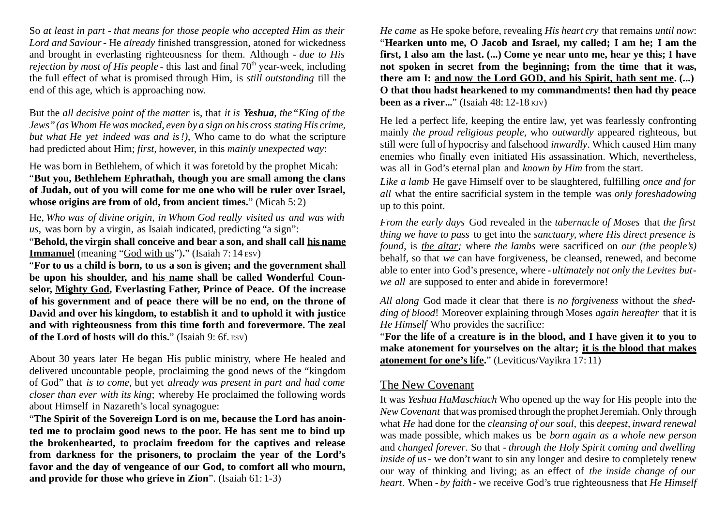So *at least in part - that means for those people who accepted Him as their Lord and Saviour*- He *already* finished transgression, atoned for wickedness and brought in everlasting righteousness for them. Although - *due to His rejection by most of His people* - this last and final 70<sup>th</sup> year-week, including the full effect of what is promised through Him, is *still outstanding* till the end of this age, which is approaching now.

But the *all decisive point of the matter* is, that *it is Yeshua*, *the"King of the Jews"(as Whom Hewas mocked, even by a sign on his cross stating His crime, but what He yet indeed was and is!)*, Who came to do what the scripture had predicted about Him; *first,* however, in this *mainly unexpected way*:

He was born in Bethlehem, of which it was foretold by the prophet Micah: "**But you, Bethlehem Ephrathah, though you are small among the clans of Judah, out of you will come for me one who will be ruler over Israel, whose origins are from of old, from ancient times.**" (Micah 5:2)

He, *Who was of divine origin, in Whom God really visited us and was with us*, was born by a virgin, as Isaiah indicated, predicting "a sign":

"**Behold, the virgin shall conceive and bear a son, and shall call his name Immanuel** (meaning "God with us")." (Isaiah 7:14 ESV)

"**For to us a child is born, to us a son is given; and the government shall be upon his shoulder, and his name shall be called Wonderful Counselor, Mighty God, Everlasting Father, Prince of Peace. Of the increase of his government and of peace there will be no end, on the throne of David and over his kingdom, to establish it and to uphold it with justice and with righteousness from this time forth and forevermore. The zeal of the Lord of hosts will do this.**" (Isaiah 9: 6f. ESV)

About 30 years later He began His public ministry, where He healed and delivered uncountable people, proclaiming the good news of the "kingdom of God" that *is to come,* but yet *already was present in part and had come closer than ever with its king*; whereby He proclaimed the following words about Himself in Nazareth's local synagogue:

"**The Spirit of the Sovereign Lord is on me, because the Lord has anointed me to proclaim good news to the poor. He has sent me to bind up the brokenhearted, to proclaim freedom for the captives and release from darkness for the prisoners, to proclaim the year of the Lord's favor and the day of vengeance of our God, to comfort all who mourn, and provide for those who grieve in Zion**". (Isaiah 61: 1-3)

*He came* as He spoke before, revealing *His heart cry* that remains *until now*: "**Hearken unto me, O Jacob and Israel, my called; I am he; I am the first, I also am the last. (...) Come ye near unto me, hear ye this; I have not spoken in secret from the beginning; from the time that it was, there am I: and now the Lord GOD, and his Spirit, hath sent me. (...) O that thou hadst hearkened to my commandments! then had thy peace been as a river...**" (Isaiah 48: 12-18 KJV)

He led a perfect life, keeping the entire law, yet was fearlessly confronting mainly *the proud religious people*, who *outwardly* appeared righteous, but still were full of hypocrisy and falsehood *inwardly*. Which caused Him many enemies who finally even initiated His assassination. Which, nevertheless, was all in God's eternal plan and *known by Him* from the start.

*Like a lamb* He gave Himself over to be slaughtered, fulfilling *once and for all* what the entire sacrificial system in the temple was *only foreshadowing* up to this point.

*From the early days* God revealed in the *tabernacle of Moses* that *the first thing we have to pass* to get into the *sanctuary, where His direct presence is found*, is *the altar;* where *the lambs* were sacrificed on *our (the people's)* behalf, so that *we* can have forgiveness, be cleansed, renewed, and become able to enter into God's presence, where - *ultimately not only the Levites butwe all* are supposed to enter and abide in forevermore!

*All along* God made it clear that there is *no forgiveness* without the *shedding of blood*! Moreover explaining through Moses *again hereafter* that it is *He Himself* Who provides the sacrifice:

"**For the life of a creature is in the blood, and I have given it to you to make atonement for yourselves on the altar; it is the blood that makes atonement for one's life.**" (Leviticus/Vayikra 17: 11)

## The New Covenant

It was *Yeshua HaMaschiach* Who opened up the way for His people into the *New Covenant* that was promised through the prophet Jeremiah. Only through what *He* had done for the *cleansing of our soul*, this *deepest, inward renewal* was made possible, which makes us be *born again as a whole new person* and *changed forever*. So that - *through the Holy Spirit coming and dwelling inside of us*- we don't want to sin any longer and desire to completely renew our way of thinking and living; as an effect of *the inside change of our heart*. When - *by faith* - we receive God's true righteousness that *He Himself*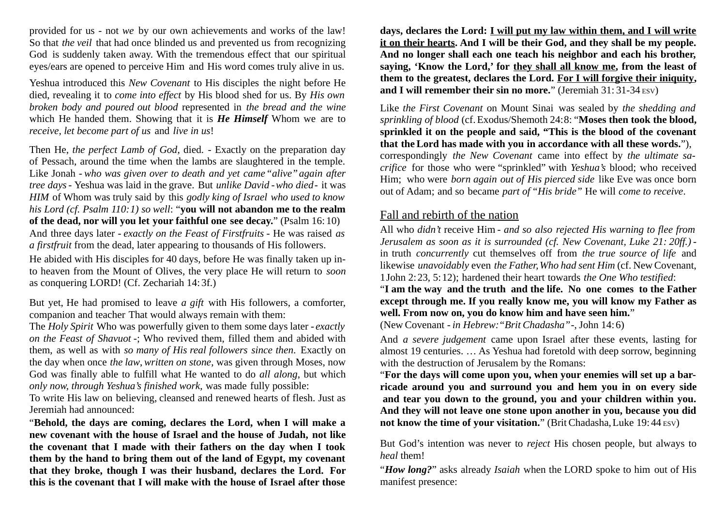provided for us - not *we* by our own achievements and works of the law! So that *the veil* that had once blinded us and prevented us from recognizing God is suddenly taken away. With the tremendous effect that our spiritual eyes/ears are opened to perceive Him and His word comes truly alive in us.

Yeshua introduced this *New Covenant* to His disciples the night before He died, revealing it to *come into effect* by His blood shed for us. By *His own broken body and poured out blood* represented in *the bread and the wine* which He handed them. Showing that it is *He Himself* Whom we are to *receive, let become part of us* and *live in us*!

Then He, *the perfect Lamb of God*, died. - Exactly on the preparation day of Pessach, around the time when the lambs are slaughtered in the temple. Like Jonah *- who was given over to death and yet came"alive"again after tree days-* Yeshua was laid in the grave. But *unlike David -who died-* it was *HIM* of Whom was truly said by this *godly king of Israel who used to know his Lord (cf. Psalm 110:1) so well*: "**you will not abandon me to the realm of the dead, nor will you let your faithful one see decay.**" (Psalm 16: 10) And three days later - *exactly on the Feast of Firstfruits -* He was raised *as a firstfruit* from the dead, later appearing to thousands of His followers. He abided with His disciples for 40 days, before He was finally taken up into heaven from the Mount of Olives, the very place He will return to *soon* as conquering LORD! (Cf. Zechariah 14: 3f.)

But yet, He had promised to leave *a gift* with His followers, a comforter, companion and teacher That would always remain with them:

The *Holy Spirit* Who was powerfully given to them some days later - *exactly on the Feast of Shavuot* -; Who revived them, filled them and abided with them, as well as with *so many of His real followers since then*. Exactly on the day when once *the law*, *written on stone*, was given through Moses, now God was finally able to fulfill what He wanted to do *all along*, but which *only now, through Yeshua's finished work*, was made fully possible:

To write His law on believing, cleansed and renewed hearts of flesh. Just as Jeremiah had announced:

"**Behold, the days are coming, declares the Lord, when I will make a new covenant with the house of Israel and the house of Judah, not like the covenant that I made with their fathers on the day when I took them by the hand to bring them out of the land of Egypt, my covenant that they broke, though I was their husband, declares the Lord. For this is the covenant that I will make with the house of Israel after those**

**days, declares the Lord: I will put my law within them, and I will write it on their hearts. And I will be their God, and they shall be my people. And no longer shall each one teach his neighbor and each his brother, saying, 'Know the Lord,' for they shall all know me, from the least of them to the greatest, declares the Lord. For I will forgive their iniquity, and I will remember their sin no more.**" (Jeremiah 31: 31-34 ESV)

Like *the First Covenant* on Mount Sinai was sealed by *the shedding and sprinkling of blood* (cf.Exodus/Shemoth 24:8: "**Moses then took the blood, sprinkled it on the people and said, "This is the blood of the covenant that the Lord has made with you in accordance with all these words.**"), correspondingly *the New Covenant* came into effect by *the ultimate sacrifice* for those who were "sprinkled" with *Yeshua's* blood; who received Him; who were *born again out of His pierced side* like Eve was once born out of Adam; and so became *part of "His bride"* He will *come to receive*.

# Fall and rebirth of the nation

All who *didn't* receive Him - *and so also rejected His warning to flee from Jerusalem as soon as it is surrounded (cf. New Covenant, Luke 21: 20ff.)* in truth *concurrently* cut themselves off from *the true source of life* and likewise *unavoidably* even *the Father,Who had sent Him* (cf. New Covenant, 1John 2:23, 5:12); hardened their heart towards *the One Who testified*:

"**I am the way and the truth and the life. No one comes to the Father except through me. If you really know me, you will know my Father as well. From now on, you do know him and have seen him.**"

(New Covenant *- in Hebrew:"Brit Chadasha"-*, John 14:6)

And *a severe judgement* came upon Israel after these events, lasting for almost 19 centuries. … As Yeshua had foretold with deep sorrow, beginning with the destruction of Jerusalem by the Romans:

"**For the days will come upon you, when your enemies will set up a barricade around you and surround you and hem you in on every side and tear you down to the ground, you and your children within you. And they will not leave one stone upon another in you, because you did not know the time of your visitation.**" (Brit Chadasha, Luke 19:44 ESV)

But God's intention was never to *reject* His chosen people, but always to *heal* them!

"*How long?*" asks already *Isaiah* when the LORD spoke to him out of His manifest presence: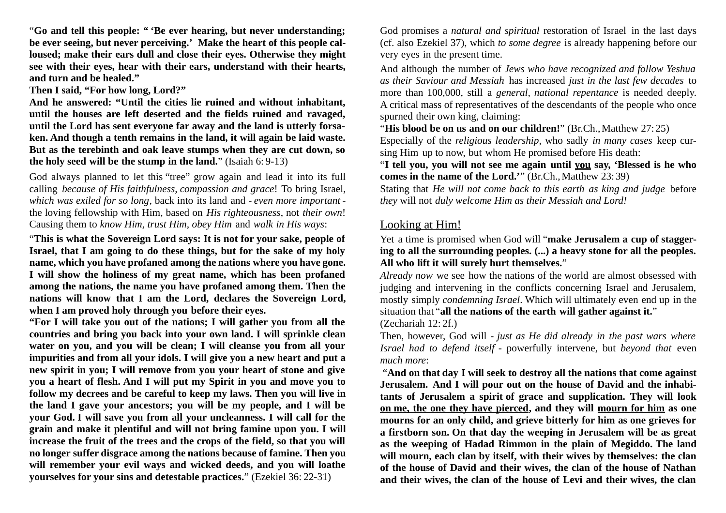"**Go and tell this people: " 'Be ever hearing, but never understanding; be ever seeing, but never perceiving.' Make the heart of this people calloused; make their ears dull and close their eyes. Otherwise they might see with their eyes, hear with their ears, understand with their hearts, and turn and be healed."**

#### **Then I said, "For how long, Lord?"**

**And he answered: "Until the cities lie ruined and without inhabitant, until the houses are left deserted and the fields ruined and ravaged, until the Lord has sent everyone far away and the land is utterly forsaken. And though a tenth remains in the land, it will again be laid waste. But as the terebinth and oak leave stumps when they are cut down, so the holy seed will be the stump in the land.**" (Isaiah 6: 9-13)

God always planned to let this "tree" grow again and lead it into its full calling *because of His faithfulness, compassion and grace*! To bring Israel, *which was exiled for so long*, back into its land and - *even more important*  the loving fellowship with Him, based on *His righteousness*, not *their own*! Causing them to *know Him, trust Him, obey Him* and *walk in His ways*:

"**This is what the Sovereign Lord says: It is not for your sake, people of Israel, that I am going to do these things, but for the sake of my holy name, which you have profaned among the nations where you have gone. I will show the holiness of my great name, which has been profaned among the nations, the name you have profaned among them. Then the nations will know that I am the Lord, declares the Sovereign Lord, when I am proved holy through you before their eyes.** 

**"For I will take you out of the nations; I will gather you from all the countries and bring you back into your own land. I will sprinkle clean water on you, and you will be clean; I will cleanse you from all your impurities and from all your idols. I will give you a new heart and put a new spirit in you; I will remove from you your heart of stone and give you a heart of flesh. And I will put my Spirit in you and move you to follow my decrees and be careful to keep my laws. Then you will live in the land I gave your ancestors; you will be my people, and I will be your God. I will save you from all your uncleanness. I will call for the grain and make it plentiful and will not bring famine upon you. I will increase the fruit of the trees and the crops of the field, so that you will no longer suffer disgrace among the nations because of famine. Then you will remember your evil ways and wicked deeds, and you will loathe yourselves for your sins and detestable practices.**" (Ezekiel 36: 22-31)

God promises a *natural and spiritual* restoration of Israel in the last days (cf. also Ezekiel 37), which *to some degree* is already happening before our very eyes in the present time.

And although the number of *Jews who have recognized and follow Yeshua as their Saviour and Messiah* has increased *just in the last few decades* to more than 100,000, still a *general, national repentance* is needed deeply. A critical mass of representatives of the descendants of the people who once spurned their own king, claiming:

"**His blood be on us and on our children!**" (Br.Ch.,Matthew 27: 25)

Especially of the *religious leadership,* who sadly *in many cases* keep cursing Him up to now, but whom He promised before His death:

"**I tell you, you will not see me again until you say, 'Blessed is he who comes in the name of the Lord.'**" (Br.Ch., Matthew 23:39)

Stating that *He will not come back to this earth as king and judge* before *they* will not *duly welcome Him as their Messiah and Lord!*

#### Looking at Him!

Yet a time is promised when God will "**make Jerusalem a cup of staggering to all the surrounding peoples. (...) a heavy stone for all the peoples. All who lift it will surely hurt themselves.**"

*Already now* we see how the nations of the world are almost obsessed with judging and intervening in the conflicts concerning Israel and Jerusalem, mostly simply *condemning Israel*. Which will ultimately even end up in the situation that "**all the nations of the earth will gather against it.**"

(Zechariah 12: 2f.)

Then, however, God will - *just as He did already in the past wars where Israel had to defend itself* - powerfully intervene, but *beyond that* even *much more*:

"**And on that day I will seek to destroy all the nations that come against Jerusalem. And I will pour out on the house of David and the inhabitants of Jerusalem a spirit of grace and supplication. They will look on me, the one they have pierced, and they will mourn for him as one mourns for an only child, and grieve bitterly for him as one grieves for a firstborn son. On that day the weeping in Jerusalem will be as great as the weeping of Hadad Rimmon in the plain of Megiddo. The land will mourn, each clan by itself, with their wives by themselves: the clan of the house of David and their wives, the clan of the house of Nathan and their wives, the clan of the house of Levi and their wives, the clan**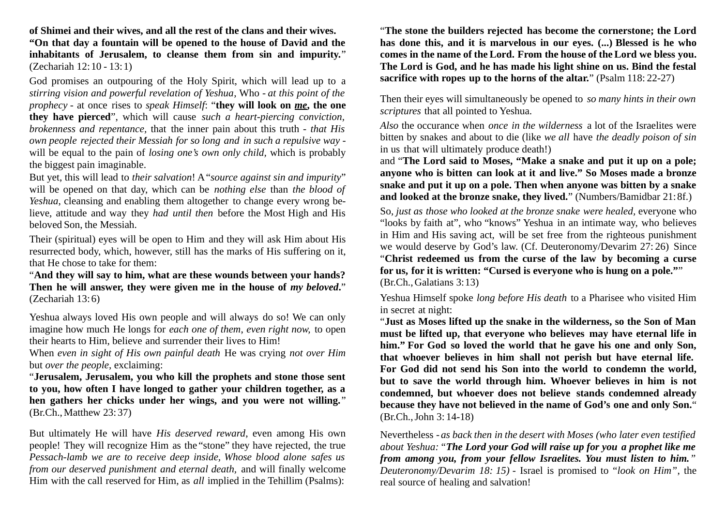**of Shimei and their wives, and all the rest of the clans and their wives. "On that day a fountain will be opened to the house of David and the inhabitants of Jerusalem, to cleanse them from sin and impurity.**" (Zechariah 12:10 - 13:1)

God promises an outpouring of the Holy Spirit, which will lead up to a *stirring vision and powerful revelation of Yeshua*, Who - *at this point of the prophecy* - at once rises to *speak Himself*: "**they will look on** *me***, the one they have pierced**", which will cause *such a heart-piercing conviction, brokenness and repentance,* that the inner pain about this truth - *that His own people rejected their Messiah for so long and in such a repulsive way* will be equal to the pain of *losing one's own only child,* which is probably the biggest pain imaginable.

But yet, this will lead to *their salvation*! A"*source against sin and impurity*" will be opened on that day, which can be *nothing else* than *the blood of Yeshua*, cleansing and enabling them altogether to change every wrong believe, attitude and way they *had until then* before the Most High and His beloved Son, the Messiah.

Their (spiritual) eyes will be open to Him and they will ask Him about His resurrected body, which, however, still has the marks of His suffering on it, that He chose to take for them:

"**And they will say to him, what are these wounds between your hands? Then he will answer, they were given me in the house of** *my beloved***.**" (Zechariah 13: 6)

Yeshua always loved His own people and will always do so! We can only imagine how much He longs for *each one of them*, *even right now,* to open their hearts to Him, believe and surrender their lives to Him!

When *even in sight of His own painful death* He was crying *not over Him* but *over the people*, exclaiming:

"**Jerusalem, Jerusalem, you who kill the prophets and stone those sent to you, how often I have longed to gather your children together, as a hen gathers her chicks under her wings, and you were not willing.**" (Br.Ch., Matthew 23:37)

But ultimately He will have *His deserved reward*, even among His own people! They will recognize Him as the "stone" they have rejected, the true *Pessach-lamb we are to receive deep inside, Whose blood alone safes us from our deserved punishment and eternal death,* and will finally welcome Him with the call reserved for Him, as *all* implied in the Tehillim (Psalms):

"**The stone the builders rejected has become the cornerstone; the Lord has done this, and it is marvelous in our eyes. (...) Blessed is he who comes in the name of the Lord. From the house of the Lord we bless you. The Lord is God, and he has made his light shine on us. Bind the festal sacrifice with ropes up to the horns of the altar.**" (Psalm 118: 22-27)

Then their eyes will simultaneously be opened to *so many hints in their own scriptures* that all pointed to Yeshua.

*Also* the occurance when *once in the wilderness* a lot of the Israelites were bitten by snakes and about to die (like *we all* have *the deadly poison of sin* in us that will ultimately produce death!)

and "**The Lord said to Moses, "Make a snake and put it up on a pole; anyone who is bitten can look at it and live." So Moses made a bronze snake and put it up on a pole. Then when anyone was bitten by a snake and looked at the bronze snake, they lived.**" (Numbers/Bamidbar 21:8f.)

So, *just as those who looked at the bronze snake were healed,* everyone who "looks by faith at", who "knows" Yeshua in an intimate way, who believes in Him and His saving act, will be set free from the righteous punishment we would deserve by God's law. (Cf. Deuteronomy/Devarim 27: 26) Since "**Christ redeemed us from the curse of the law by becoming a curse for us, for it is written: "Cursed is everyone who is hung on a pole."**" (Br.Ch.,Galatians 3:13)

Yeshua Himself spoke *long before His death* to a Pharisee who visited Him in secret at night:

"**Just as Moses lifted up the snake in the wilderness, so the Son of Man must be lifted up, that everyone who believes may have eternal life in him." For God so loved the world that he gave his one and only Son, that whoever believes in him shall not perish but have eternal life. For God did not send his Son into the world to condemn the world, but to save the world through him. Whoever believes in him is not condemned, but whoever does not believe stands condemned already because they have not believed in the name of God's one and only Son.**" (Br.Ch.,John 3: 14-18)

Nevertheless - *as back then in the desert with Moses (who later even testified about Yeshua:"The Lord your God will raise up for you a prophet like me from among you, from your fellow Israelites. You must listen to him." Deuteronomy/Devarim 18: 15)* - Israel is promised to "*look on Him"*, the real source of healing and salvation!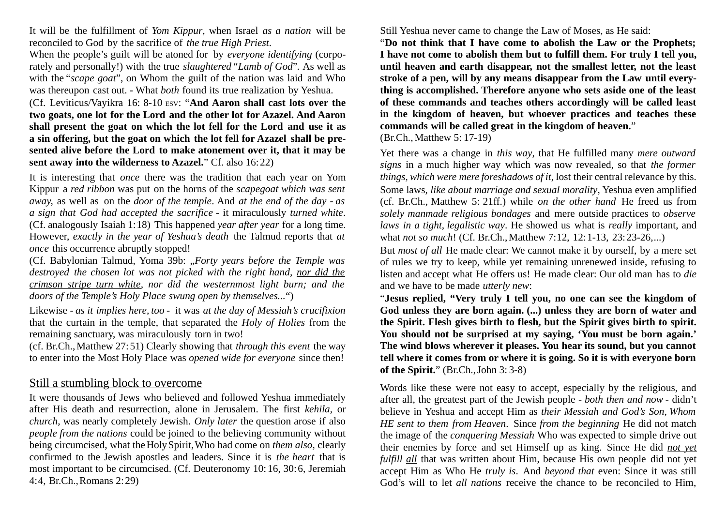It will be the fulfillment of *Yom Kippur*, when Israel *as a nation* will be reconciled to God by the sacrifice of *the true High Priest*.

When the people's guilt will be atoned for by *everyone identifying* (corporately and personally!) with the true *slaughtered"Lamb of God*"*.* As well as with the "*scape goat*", on Whom the guilt of the nation was laid and Who was thereupon cast out. - What *both* found its true realization by Yeshua.

(Cf. Leviticus/Vayikra 16: 8-10 ESV: "**And Aaron shall cast lots over the two goats, one lot for the Lord and the other lot for Azazel. And Aaron shall present the goat on which the lot fell for the Lord and use it as a sin offering, but the goat on which the lot fell for Azazel shall be presented alive before the Lord to make atonement over it, that it may be sent away into the wilderness to Azazel.**" Cf. also 16:22)

It is interesting that *once* there was the tradition that each year on Yom Kippur a *red ribbon* was put on the horns of the *scapegoat which was sent away,* as well as on the *door of the temple*. And *at the end of the day - as a sign that God had accepted the sacrifice* - it miraculously *turned white*. (Cf. analogously Isaiah 1:18) This happened *year after year* for a long time. However, *exactly in the year of Yeshua's death* the Talmud reports that *at once* this occurrence abruptly stopped!

(Cf. Babylonian Talmud, Yoma 39b: "*Forty years before the Temple was destroyed the chosen lot was not picked with the right hand, nor did the crimson stripe turn white, nor did the westernmost light burn; and the doors of the Temple's Holy Place swung open by themselves...*")

Likewise - *as it implies here, too* - it was *at the day of Messiah's crucifixion* that the curtain in the temple, that separated the *Holy of Holies* from the remaining sanctuary, was miraculously torn in two!

(cf. Br.Ch.,Matthew 27:51) Clearly showing that *through this event* the way to enter into the Most Holy Place was *opened wide for everyone* since then!

## Still a stumbling block to overcome

It were thousands of Jews who believed and followed Yeshua immediately after His death and resurrection, alone in Jerusalem. The first *kehila*, or *church*, was nearly completely Jewish. *Only later* the question arose if also *people from the nations* could be joined to the believing community without being circumcised, what theHolySpirit,Who had come on *them also*, clearly confirmed to the Jewish apostles and leaders. Since it is *the heart* that is most important to be circumcised. (Cf. Deuteronomy 10: 16, 30:6, Jeremiah 4:4, Br.Ch.,Romans 2:29)

Still Yeshua never came to change the Law of Moses, as He said: "**Do not think that I have come to abolish the Law or the Prophets; I have not come to abolish them but to fulfill them. For truly I tell you, until heaven and earth disappear, not the smallest letter, not the least stroke of a pen, will by any means disappear from the Law until everything is accomplished. Therefore anyone who sets aside one of the least of these commands and teaches others accordingly will be called least in the kingdom of heaven, but whoever practices and teaches these commands will be called great in the kingdom of heaven.**"

(Br.Ch.,Matthew 5: 17-19)

Yet there was a change in *this way*, that He fulfilled many *mere outward signs* in a much higher way which was now revealed, so that *the former things, which were mere foreshadows of it*, lost their central relevance by this. Some laws, *like about marriage and sexual morality*, Yeshua even amplified (cf. Br.Ch., Matthew 5: 21ff.) while *on the other hand* He freed us from *solely manmade religious bondages* and mere outside practices to *observe laws in a tight, legalistic way*. He showed us what is *really* important, and what *not so much*! (Cf. Br.Ch., Matthew 7:12, 12:1-13, 23:23-26,...)

But *most of all* He made clear: We cannot make it by ourself, by a mere set of rules we try to keep, while yet remaining unrenewed inside, refusing to listen and accept what He offers us! He made clear: Our old man has to *die* and we have to be made *utterly new*:

"**Jesus replied, "Very truly I tell you, no one can see the kingdom of God unless they are born again. (...) unless they are born of water and the Spirit. Flesh gives birth to flesh, but the Spirit gives birth to spirit. You should not be surprised at my saying, 'You must be born again.' The wind blows wherever it pleases. You hear its sound, but you cannot tell where it comes from or where it is going. So it is with everyone born of the Spirit.**" (Br.Ch.,John 3: 3-8)

Words like these were not easy to accept, especially by the religious, and after all, the greatest part of the Jewish people - *both then and now* - didn't believe in Yeshua and accept Him as *their Messiah and God's Son, Whom HE sent to them from Heaven*. Since *from the beginning* He did not match the image of the *conquering Messiah* Who was expected to simple drive out their enemies by force and set Himself up as king. Since He did *not yet fulfill all* that was written about Him, because His own people did not yet accept Him as Who He *truly is*. And *beyond that* even: Since it was still God's will to let *all nations* receive the chance to be reconciled to Him,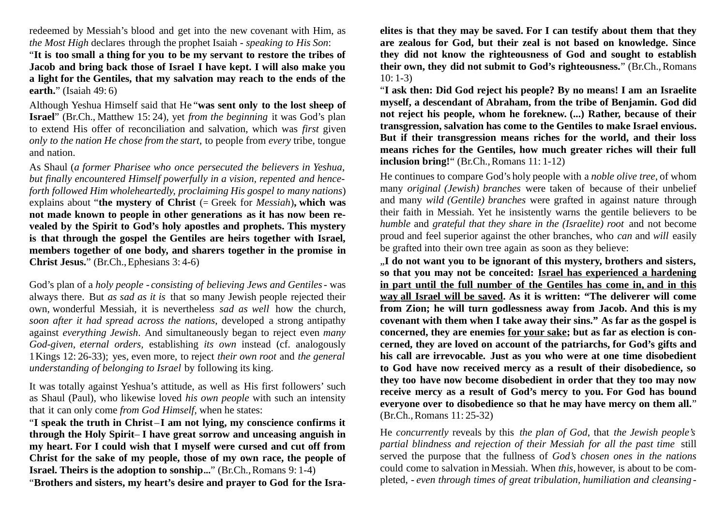redeemed by Messiah's blood and get into the new covenant with Him, as *the Most High* declares through the prophet Isaiah - *speaking to His Son*:

"**It is too small a thing for you to be my servant to restore the tribes of Jacob and bring back those of Israel I have kept. I will also make you a light for the Gentiles, that my salvation may reach to the ends of the earth.**" (Isaiah 49: 6)

Although Yeshua Himself said that He "**was sent only to the lost sheep of Israel**" (Br.Ch., Matthew 15: 24), yet *from the beginning* it was God's plan to extend His offer of reconciliation and salvation, which was *first* given *only to the nation He chose from the start*, to people from *every* tribe, tongue and nation.

As Shaul (*a former Pharisee who once persecuted the believers in Yeshua, but finally encountered Himself powerfully in a vision, repented and henceforth followed Him wholeheartedly, proclaiming His gospel to many nations*) explains about "**the mystery of Christ** (= Greek for *Messiah*)**, which was not made known to people in other generations as it has now been revealed by the Spirit to God's holy apostles and prophets. This mystery is that through the gospel the Gentiles are heirs together with Israel, members together of one body, and sharers together in the promise in Christ Jesus.**" (Br.Ch.,Ephesians 3: 4-6)

God's plan of a *holy people - consisting of believing Jews and Gentiles*- was always there. But *as sad as it is* that so many Jewish people rejected their own, wonderful Messiah, it is nevertheless *sad as well* how the church, *soon after it had spread across the nations*, developed a strong antipathy against *everything Jewish*. And simultaneously began to reject even *many God-given, eternal orders,* establishing *its own* instead (cf. analogously 1Kings 12: 26-33); yes, even more, to reject *their own root* and *the general understanding of belonging to Israel* by following its king.

It was totally against Yeshua's attitude, as well as His first followers' such as Shaul (Paul), who likewise loved *his own people* with such an intensity that it can only come *from God Himself*, when he states:

"**I speak the truth in Christ** –**I am not lying, my conscience confirms it through the Holy Spirit**– **I have great sorrow and unceasing anguish in my heart. For I could wish that I myself were cursed and cut off from Christ for the sake of my people, those of my own race, the people of Israel. Theirs is the adoption to sonship...**" (Br.Ch., Romans 9: 1-4) "**Brothers and sisters, my heart's desire and prayer to God for the Isra-** **elites is that they may be saved. For I can testify about them that they are zealous for God, but their zeal is not based on knowledge. Since they did not know the righteousness of God and sought to establish their own, they did not submit to God's righteousness.**" (Br.Ch., Romans 10: 1-3)

"**I ask then: Did God reject his people? By no means! I am an Israelite myself, a descendant of Abraham, from the tribe of Benjamin. God did not reject his people, whom he foreknew. (...) Rather, because of their transgression, salvation has come to the Gentiles to make Israel envious. But if their transgression means riches for the world, and their loss means riches for the Gentiles, how much greater riches will their full inclusion bring!**" (Br.Ch.,Romans 11: 1-12)

He continues to compare God's holy people with a *noble olive tree*, of whom many *original (Jewish) branches* were taken of because of their unbelief and many *wild (Gentile) branches* were grafted in against nature through their faith in Messiah. Yet he insistently warns the gentile believers to be *humble* and *grateful that they share in the (Israelite) root* and not become proud and feel superior against the other branches, who *can* and *will* easily be grafted into their own tree again as soon as they believe:

"**I do not want you to be ignorant of this mystery, brothers and sisters, so that you may not be conceited: Israel has experienced a hardening in part until the full number of the Gentiles has come in, and in this way all Israel will be saved. As it is written: "The deliverer will come from Zion; he will turn godlessness away from Jacob. And this is my covenant with them when I take away their sins." As far as the gospel is concerned, they are enemies for your sake; but as far as election is concerned, they are loved on account of the patriarchs, for God's gifts and his call are irrevocable. Just as you who were at one time disobedient to God have now received mercy as a result of their disobedience, so they too have now become disobedient in order that they too may now receive mercy as a result of God's mercy to you. For God has bound everyone over to disobedience so that he may have mercy on them all.**" (Br.Ch.,Romans 11: 25-32)

He *concurrently* reveals by this *the plan of God*, that *the Jewish people's partial blindness and rejection of their Messiah for all the past time* still served the purpose that the fullness of *God's chosen ones in the nations* could come to salvation in Messiah. When *this*, however, is about to be completed, - *even through times of great tribulation, humiliation and cleansing* -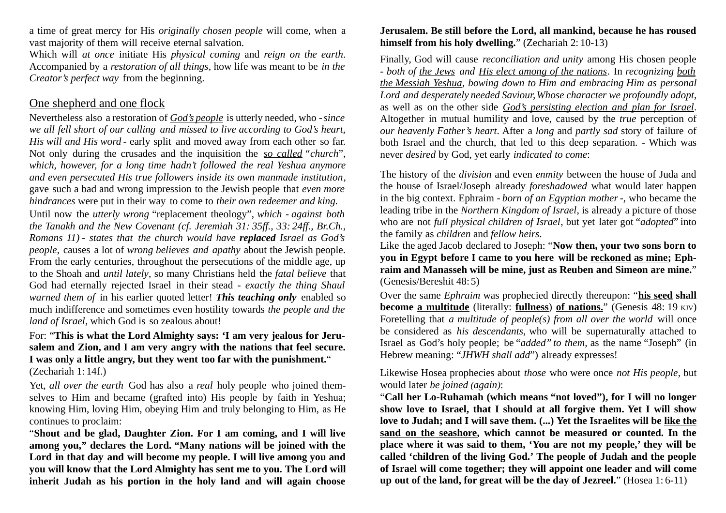a time of great mercy for His *originally chosen people* will come, when a vast majority of them will receive eternal salvation.

Which will *at once* initiate His *physical coming* and *reign on the earth*. Accompanied by a *restoration of all things*, how life was meant to be *in the Creator's perfect way* from the beginning.

# One shepherd and one flock

Nevertheless also a restoration of *God's people* is utterly needed, who -*since we all fell short of our calling and missed to live according to God's heart, His will and His word* - early split and moved away from each other so far. Not only during the crusades and the inquisition the *so called "church*", *which, however, for a long time hadn't followed the real Yeshua anymore and even persecuted His true followers inside its own manmade institution*, gave such a bad and wrong impression to the Jewish people that *even more hindrances* were put in their way to come to *their own redeemer and king.*

Until now the *utterly wrong* "replacement theology", *which - against both the Tanakh and the New Covenant (cf. Jeremiah 31: 35ff., 33: 24ff., Br.Ch., Romans 11) - states that the church would have replaced Israel as God's people*, causes a lot of *wrong believes and apathy* about the Jewish people. From the early centuries, throughout the persecutions of the middle age, up to the Shoah and *until lately*, so many Christians held the *fatal believe* that God had eternally rejected Israel in their stead - *exactly the thing Shaul warned them of* in his earlier quoted letter! *This teaching only* enabled so much indifference and sometimes even hostility towards *the people and the land of Israel*, which God is so zealous about!

#### For: "**This is what the Lord Almighty says: 'I am very jealous for Jerusalem and Zion, and I am very angry with the nations that feel secure. I was only a little angry, but they went too far with the punishment.**" (Zechariah 1: 14f.)

Yet, *all over the earth* God has also a *real* holy people who joined themselves to Him and became (grafted into) His people by faith in Yeshua; knowing Him, loving Him, obeying Him and truly belonging to Him, as He continues to proclaim:

"**Shout and be glad, Daughter Zion. For I am coming, and I will live among you," declares the Lord. "Many nations will be joined with the Lord in that day and will become my people. I will live among you and you will know that the Lord Almighty has sent me to you. The Lord will inherit Judah as his portion in the holy land and will again choose**

#### **Jerusalem. Be still before the Lord, all mankind, because he has roused himself from his holy dwelling.**" (Zechariah 2: 10-13)

Finally, God will cause *reconciliation and unity* among His chosen people - *both of the Jews and His elect among of the nations*. In *recognizing both the Messiah Yeshua*, *bowing down to Him and embracing Him as personal Lord and desperately needed Saviour,Whose character we profoundly adopt*, as well as on the other side *God's persisting election and plan for Israel*. Altogether in mutual humility and love, caused by the *true* perception of *our heavenly Father's heart*. After a *long* and *partly sad* story of failure of both Israel and the church, that led to this deep separation. - Which was never *desired* by God, yet early *indicated to come*:

The history of the *division* and even *enmity* between the house of Juda and the house of Israel/Joseph already *foreshadowed* what would later happen in the big context. Ephraim - *born of an Egyptian mother*-, who became the leading tribe in the *Northern Kingdom of Israel*, is already a picture of those who are not *full physical children of Israel*, but yet later got "*adopted*" into the family as *children* and *fellow heirs*.

Like the aged Jacob declared to Joseph: "**Now then, your two sons born to you in Egypt before I came to you here will be reckoned as mine; Ephraim and Manasseh will be mine, just as Reuben and Simeon are mine.**" (Genesis/Bereshit 48: 5)

Over the same *Ephraim* was prophecied directly thereupon: "**his seed shall become a multitude** (literally: **fullness**) **of nations.**" (Genesis 48: 19 KJV) Foretelling that *a multitude of people(s) from all over the world* will once be considered as *his descendants*, who will be supernaturally attached to Israel as God's holy people; be "*added" to them,* as the name "Joseph" (in Hebrew meaning: "*JHWH shall add*") already expresses!

Likewise Hosea prophecies about *those* who were once *not His people*, but would later *be joined (again)*:

"**Call her Lo-Ruhamah (which means "not loved"), for I will no longer show love to Israel, that I should at all forgive them. Yet I will show love to Judah; and I will save them. (...) Yet the Israelites will be like the sand on the seashore, which cannot be measured or counted. In the place where it was said to them, 'You are not my people,' they will be called 'children of the living God.' The people of Judah and the people of Israel will come together; they will appoint one leader and will come up out of the land, for great will be the day of Jezreel.**" (Hosea 1: 6-11)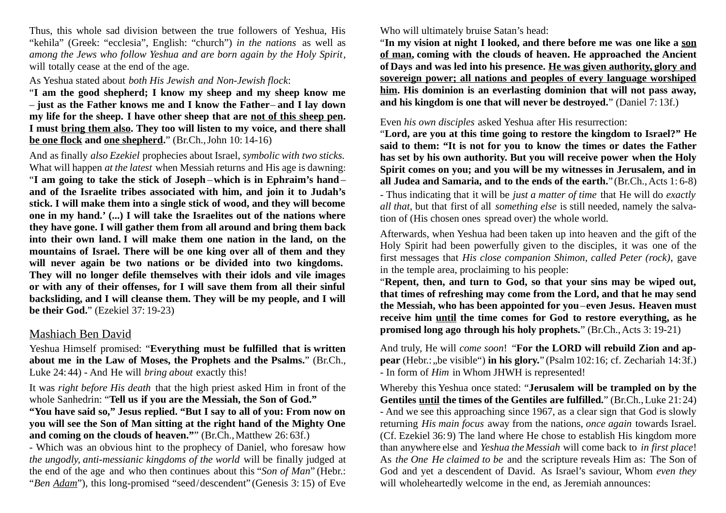Thus, this whole sad division between the true followers of Yeshua, His "kehila" (Greek: "ecclesia", English: "church") *in the nations* as well as *among the Jews who follow Yeshua and are born again by the Holy Spirit*, will totally cease at the end of the age.

As Yeshua stated about *both His Jewish and Non-Jewish flock*:

"**I am the good shepherd; I know my sheep and my sheep know me** – **just as the Father knows me and I know the Father**– **and I lay down my life for the sheep. I have other sheep that are not of this sheep pen. I must bring them also. They too will listen to my voice, and there shall be one flock and one shepherd.**" (Br.Ch.,John 10: 14-16)

And as finally *also Ezekiel* prophecies about Israel, *symbolic with two sticks.* What will happen *at the latest* when Messiah returns and His age is dawning: "**I am going to take the stick of Joseph** –**which is in Ephraim's hand** – **and of the Israelite tribes associated with him, and join it to Judah's stick. I will make them into a single stick of wood, and they will become one in my hand.' (...) I will take the Israelites out of the nations where they have gone. I will gather them from all around and bring them back into their own land. I will make them one nation in the land, on the mountains of Israel. There will be one king over all of them and they will never again be two nations or be divided into two kingdoms. They will no longer defile themselves with their idols and vile images or with any of their offenses, for I will save them from all their sinful backsliding, and I will cleanse them. They will be my people, and I will be their God.**" (Ezekiel 37: 19-23)

# Mashiach Ben David

Yeshua Himself promised: "**Everything must be fulfilled that is written about me in the Law of Moses, the Prophets and the Psalms.**" (Br.Ch., Luke 24:44) - And He will *bring about* exactly this!

It was *right before His death* that the high priest asked Him in front of the whole Sanhedrin: "**Tell us if you are the Messiah, the Son of God."**

**"You have said so," Jesus replied. "But I say to all of you: From now on you will see the Son of Man sitting at the right hand of the Mighty One** and coming on the clouds of heaven."" (Br.Ch., Matthew 26: 63f.)

- Which was an obvious hint to the prophecy of Daniel, who foresaw how *the ungodly, anti-messianic kingdoms of the world* will be finally judged at the end of the age and who then continues about this "*Son of Man*" (Hebr.: "*Ben Adam*"), this long-promised "seed/descendent" (Genesis 3: 15) of Eve

Who will ultimately bruise Satan's head:

"**In my vision at night I looked, and there before me was one like a son of man, coming with the clouds of heaven. He approached the Ancient of Days and was led into his presence. He was given authority, glory and sovereign power; all nations and peoples of every language worshiped him. His dominion is an everlasting dominion that will not pass away, and his kingdom is one that will never be destroyed.**" (Daniel 7: 13f.)

Even *his own disciples* asked Yeshua after His resurrection:

"**Lord, are you at this time going to restore the kingdom to Israel?" He said to them: "It is not for you to know the times or dates the Father has set by his own authority. But you will receive power when the Holy Spirit comes on you; and you will be my witnesses in Jerusalem, and in all Judea and Samaria, and to the ends of the earth.**" (Br.Ch.,Acts 1: 6-8) - Thus indicating that it will be *just a matter of time* that He will do *exactly all that*, but that first of all *something else* is still needed, namely the salvation of (His chosen ones spread over) the whole world.

Afterwards, when Yeshua had been taken up into heaven and the gift of the Holy Spirit had been powerfully given to the disciples, it was one of the first messages that *His close companion Shimon, called Peter (rock)*, gave in the temple area, proclaiming to his people:

"**Repent, then, and turn to God, so that your sins may be wiped out, that times of refreshing may come from the Lord, and that he may send the Messiah, who has been appointed for you**–**even Jesus. Heaven must receive him until the time comes for God to restore everything, as he promised long ago through his holy prophets.**" (Br.Ch.,Acts 3: 19-21)

And truly, He will *come soon*! "**For the LORD will rebuild Zion and appear** (Hebr.: "be visible") in his glory." (Psalm 102:16; cf. Zechariah 14:3f.) - In form of *Him* in Whom JHWH is represented!

Whereby this Yeshua once stated: "**Jerusalem will be trampled on by the Gentiles until the times of the Gentiles are fulfilled.**" (Br.Ch.,Luke 21:24) - And we see this approaching since 1967, as a clear sign that God is slowly returning *His main focus* away from the nations, *once again* towards Israel. (Cf. Ezekiel 36: 9) The land where He chose to establish His kingdom more than anywhere else and *Yeshua the Messiah* will come back to *in first place*! As *the One He claimed to be* and the scripture reveals Him as: The Son of God and yet a descendent of David. As Israel's saviour, Whom *even they* will wholeheartedly welcome in the end, as Jeremiah announces: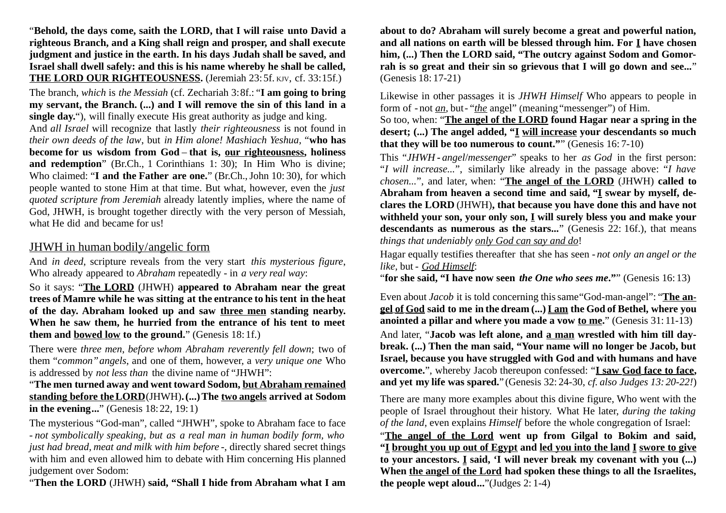"**Behold, the days come, saith the LORD, that I will raise unto David a righteous Branch, and a King shall reign and prosper, and shall execute judgment and justice in the earth. In his days Judah shall be saved, and Israel shall dwell safely: and this is his name whereby he shall be called, THE LORD OUR RIGHTEOUSNESS.** (Jeremiah 23: 5f. KJV, cf. 33:15f.)

The branch, *which* is *the Messiah* (cf. Zechariah 3:8f.: "**I am going to bring my servant, the Branch. (...) and I will remove the sin of this land in a single day.**"), will finally execute His great authority as judge and king. And *all Israel* will recognize that lastly *their righteousness* is not found in *their own deeds of the law*, but *in Him alone! Mashiach Yeshua, "***who has become for us wisdom from God** – **that is, our righteousness, holiness and redemption**" (Br.Ch., 1 Corinthians 1: 30); In Him Who is divine; Who claimed: "**I and the Father are one.**" (Br.Ch.,John 10: 30), for which people wanted to stone Him at that time. But what, however, even the *just quoted scripture from Jeremiah* already latently implies, where the name of God, JHWH, is brought together directly with the very person of Messiah, what He did and became for us!

## JHWH in human bodily /angelic form

And *in deed*, scripture reveals from the very start *this mysterious figure*, Who already appeared to *Abraham* repeatedly - in *a very real way*:

So it says: "**The LORD** (JHWH) **appeared to Abraham near the great trees of Mamre while he was sitting at the entrance to his tent in the heat of the day. Abraham looked up and saw three men standing nearby. When he saw them, he hurried from the entrance of his tent to meet them and bowed low to the ground.**" (Genesis 18:1f.)

There were *three men*, *before whom Abraham reverently fell down*; two of them "*common"angels*, and one of them, however, a *very unique one* Who is addressed by *not less than* the divine name of "JHWH":

"**The men turned away and went toward Sodom, but Abraham remained standing before theLORD**(JHWH)**.(...)The two angels arrived at Sodom in the evening...**" (Genesis 18:22, 19:1)

The mysterious "God-man", called "JHWH", spoke to Abraham face to face - *not symbolically speaking, but as a real man in human bodily form, who just had bread, meat and milk with him before* -, directly shared secret things with him and even allowed him to debate with Him concerning His planned judgement over Sodom:

"**Then the LORD** (JHWH) **said, "Shall I hide from Abraham what I am**

**about to do? Abraham will surely become a great and powerful nation, and all nations on earth will be blessed through him. For I have chosen him, (...) Then the LORD said, "The outcry against Sodom and Gomorrah is so great and their sin so grievous that I will go down and see...**" (Genesis 18: 17-21)

Likewise in other passages it is *JHWH Himself* Who appears to people in form of - not *an,* but- "*the* angel" (meaning "messenger") of Him.

So too, when: "**The angel of the LORD found Hagar near a spring in the desert; (...) The angel added, "I will increase your descendants so much that they will be too numerous to count."**" (Genesis 16: 7-10)

This "*JHWH - angel*/*messenger*" speaks to her *as God* in the first person: "*I will increase...*", similarly like already in the passage above: "*I have chosen...*", and later, when: "**The angel of the LORD** (JHWH) **called to Abraham from heaven a second time and said, "I swear by myself, declares the LORD** (JHWH)**, that because you have done this and have not withheld your son, your only son, I will surely bless you and make your descendants as numerous as the stars...**" (Genesis 22: 16f.), that means *things that undeniably only God can say and do*!

Hagar equally testifies thereafter that she has seen - *not only an angel or the like,* but - *God Himself*:

"**for she said, "I have now seen** *the One who sees me***."**" (Genesis 16: 13)

Even about *Jacob* it is told concerning thissame"God-man-angel": " **The an gel of God said to me in the dream (...)I am the God of Bethel, where you anointed a pillar and where you made a vow to me.**" (Genesis 31: 11-13) And later, "**Jacob was left alone, and a man wrestled with him till daybreak. (...) Then the man said, "Your name will no longer be Jacob, but Israel, because you have struggled with God and with humans and have overcome.**", whereby Jacob thereupon confessed: "**I saw God face to face, and yet my life was spared.**" (Genesis 32: 24-30, *cf. also Judges 13: 20-22!*)

There are many more examples about this divine figure, Who went with the people of Israel throughout their history. What He later, *during the taking of the land*, even explains *Himself* before the whole congregation of Israel: "**The angel of the Lord went up from Gilgal to Bokim and said, "I brought you up out of Egypt and led you into the land I swore to give to your ancestors. I said, 'I will never break my covenant with you (...) When the angel of the Lord had spoken these things to all the Israelites, the people wept aloud...**"(Judges 2: 1-4)